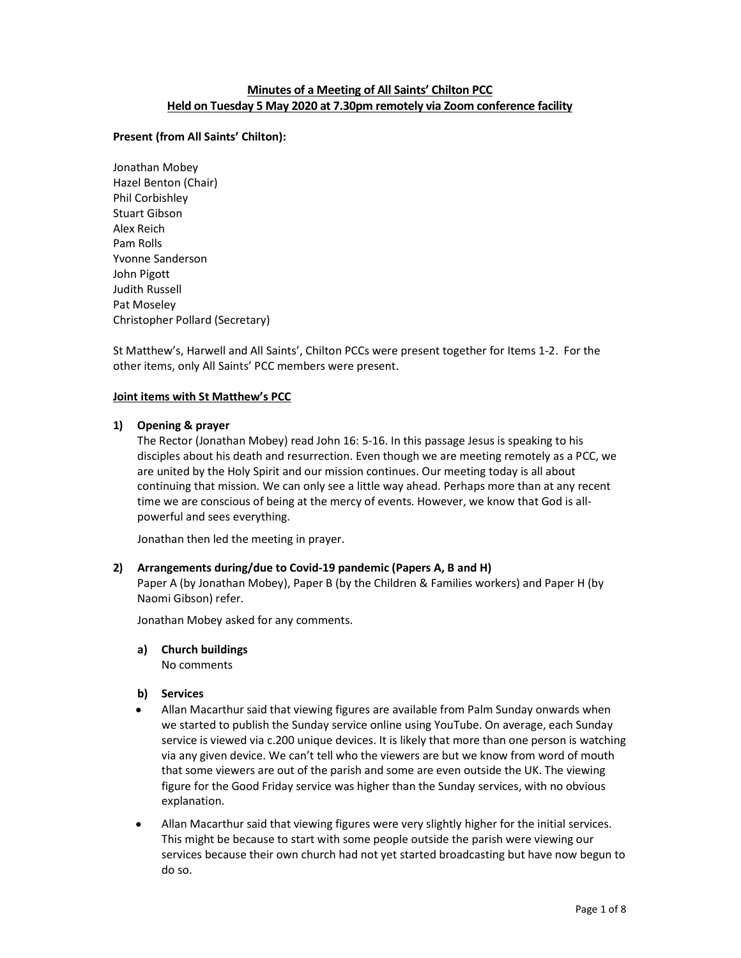# Minutes of a Meeting of All Saints' Chilton PCC Held on Tuesday 5 May 2020 at 7.30pm remotely via Zoom conference facility

# Present (from All Saints' Chilton):

Jonathan Mobey Hazel Benton (Chair) Phil Corbishley Stuart Gibson Alex Reich Pam Rolls Yvonne Sanderson John Pigott Judith Russell Pat Moseley Christopher Pollard (Secretary)

St Matthew's, Harwell and All Saints', Chilton PCCs were present together for Items 1-2. For the other items, only All Saints' PCC members were present.

## Joint items with St Matthew's PCC

## 1) Opening & prayer

The Rector (Jonathan Mobey) read John 16: 5-16. In this passage Jesus is speaking to his disciples about his death and resurrection. Even though we are meeting remotely as a PCC, we are united by the Holy Spirit and our mission continues. Our meeting today is all about continuing that mission. We can only see a little way ahead. Perhaps more than at any recent time we are conscious of being at the mercy of events. However, we know that God is allpowerful and sees everything.

Jonathan then led the meeting in prayer.

## 2) Arrangements during/due to Covid-19 pandemic (Papers A, B and H)

Paper A (by Jonathan Mobey), Paper B (by the Children & Families workers) and Paper H (by Naomi Gibson) refer.

Jonathan Mobey asked for any comments.

a) Church buildings

No comments

## b) Services

- Allan Macarthur said that viewing figures are available from Palm Sunday onwards when we started to publish the Sunday service online using YouTube. On average, each Sunday service is viewed via c.200 unique devices. It is likely that more than one person is watching via any given device. We can't tell who the viewers are but we know from word of mouth that some viewers are out of the parish and some are even outside the UK. The viewing figure for the Good Friday service was higher than the Sunday services, with no obvious explanation.
- Allan Macarthur said that viewing figures were very slightly higher for the initial services. This might be because to start with some people outside the parish were viewing our services because their own church had not yet started broadcasting but have now begun to do so.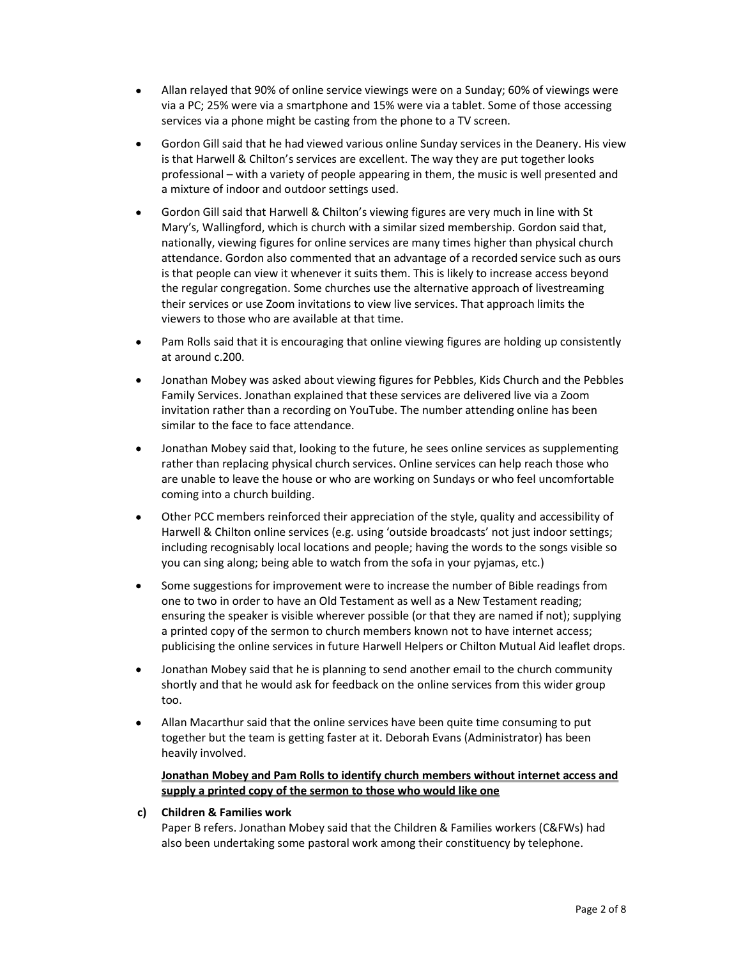- Allan relayed that 90% of online service viewings were on a Sunday; 60% of viewings were via a PC; 25% were via a smartphone and 15% were via a tablet. Some of those accessing services via a phone might be casting from the phone to a TV screen.
- Gordon Gill said that he had viewed various online Sunday services in the Deanery. His view is that Harwell & Chilton's services are excellent. The way they are put together looks professional – with a variety of people appearing in them, the music is well presented and a mixture of indoor and outdoor settings used.
- Gordon Gill said that Harwell & Chilton's viewing figures are very much in line with St Mary's, Wallingford, which is church with a similar sized membership. Gordon said that, nationally, viewing figures for online services are many times higher than physical church attendance. Gordon also commented that an advantage of a recorded service such as ours is that people can view it whenever it suits them. This is likely to increase access beyond the regular congregation. Some churches use the alternative approach of livestreaming their services or use Zoom invitations to view live services. That approach limits the viewers to those who are available at that time.
- Pam Rolls said that it is encouraging that online viewing figures are holding up consistently at around c.200.
- Jonathan Mobey was asked about viewing figures for Pebbles, Kids Church and the Pebbles Family Services. Jonathan explained that these services are delivered live via a Zoom invitation rather than a recording on YouTube. The number attending online has been similar to the face to face attendance.
- Jonathan Mobey said that, looking to the future, he sees online services as supplementing rather than replacing physical church services. Online services can help reach those who are unable to leave the house or who are working on Sundays or who feel uncomfortable coming into a church building.
- Other PCC members reinforced their appreciation of the style, quality and accessibility of Harwell & Chilton online services (e.g. using 'outside broadcasts' not just indoor settings; including recognisably local locations and people; having the words to the songs visible so you can sing along; being able to watch from the sofa in your pyjamas, etc.)
- Some suggestions for improvement were to increase the number of Bible readings from one to two in order to have an Old Testament as well as a New Testament reading; ensuring the speaker is visible wherever possible (or that they are named if not); supplying a printed copy of the sermon to church members known not to have internet access; publicising the online services in future Harwell Helpers or Chilton Mutual Aid leaflet drops.
- Jonathan Mobey said that he is planning to send another email to the church community shortly and that he would ask for feedback on the online services from this wider group too.
- Allan Macarthur said that the online services have been quite time consuming to put together but the team is getting faster at it. Deborah Evans (Administrator) has been heavily involved.

# Jonathan Mobey and Pam Rolls to identify church members without internet access and supply a printed copy of the sermon to those who would like one

## c) Children & Families work

Paper B refers. Jonathan Mobey said that the Children & Families workers (C&FWs) had also been undertaking some pastoral work among their constituency by telephone.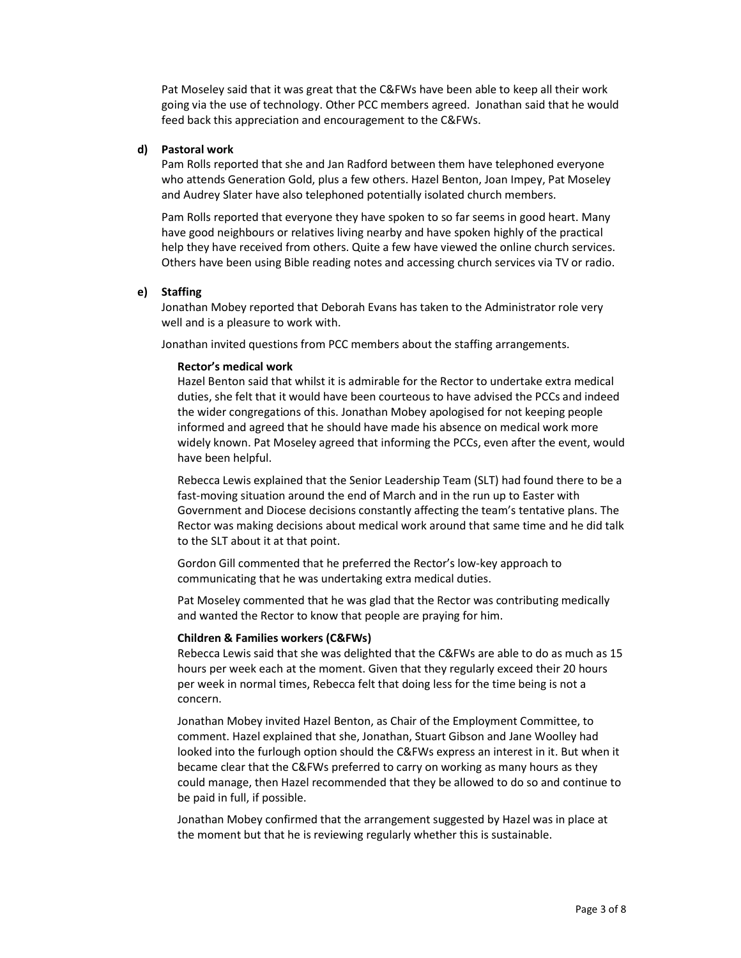Pat Moseley said that it was great that the C&FWs have been able to keep all their work going via the use of technology. Other PCC members agreed. Jonathan said that he would feed back this appreciation and encouragement to the C&FWs.

#### d) Pastoral work

Pam Rolls reported that she and Jan Radford between them have telephoned everyone who attends Generation Gold, plus a few others. Hazel Benton, Joan Impey, Pat Moseley and Audrey Slater have also telephoned potentially isolated church members.

Pam Rolls reported that everyone they have spoken to so far seems in good heart. Many have good neighbours or relatives living nearby and have spoken highly of the practical help they have received from others. Quite a few have viewed the online church services. Others have been using Bible reading notes and accessing church services via TV or radio.

### e) Staffing

Jonathan Mobey reported that Deborah Evans has taken to the Administrator role very well and is a pleasure to work with.

Jonathan invited questions from PCC members about the staffing arrangements.

## Rector's medical work

Hazel Benton said that whilst it is admirable for the Rector to undertake extra medical duties, she felt that it would have been courteous to have advised the PCCs and indeed the wider congregations of this. Jonathan Mobey apologised for not keeping people informed and agreed that he should have made his absence on medical work more widely known. Pat Moseley agreed that informing the PCCs, even after the event, would have been helpful.

Rebecca Lewis explained that the Senior Leadership Team (SLT) had found there to be a fast-moving situation around the end of March and in the run up to Easter with Government and Diocese decisions constantly affecting the team's tentative plans. The Rector was making decisions about medical work around that same time and he did talk to the SLT about it at that point.

Gordon Gill commented that he preferred the Rector's low-key approach to communicating that he was undertaking extra medical duties.

Pat Moseley commented that he was glad that the Rector was contributing medically and wanted the Rector to know that people are praying for him.

#### Children & Families workers (C&FWs)

Rebecca Lewis said that she was delighted that the C&FWs are able to do as much as 15 hours per week each at the moment. Given that they regularly exceed their 20 hours per week in normal times, Rebecca felt that doing less for the time being is not a concern.

Jonathan Mobey invited Hazel Benton, as Chair of the Employment Committee, to comment. Hazel explained that she, Jonathan, Stuart Gibson and Jane Woolley had looked into the furlough option should the C&FWs express an interest in it. But when it became clear that the C&FWs preferred to carry on working as many hours as they could manage, then Hazel recommended that they be allowed to do so and continue to be paid in full, if possible.

Jonathan Mobey confirmed that the arrangement suggested by Hazel was in place at the moment but that he is reviewing regularly whether this is sustainable.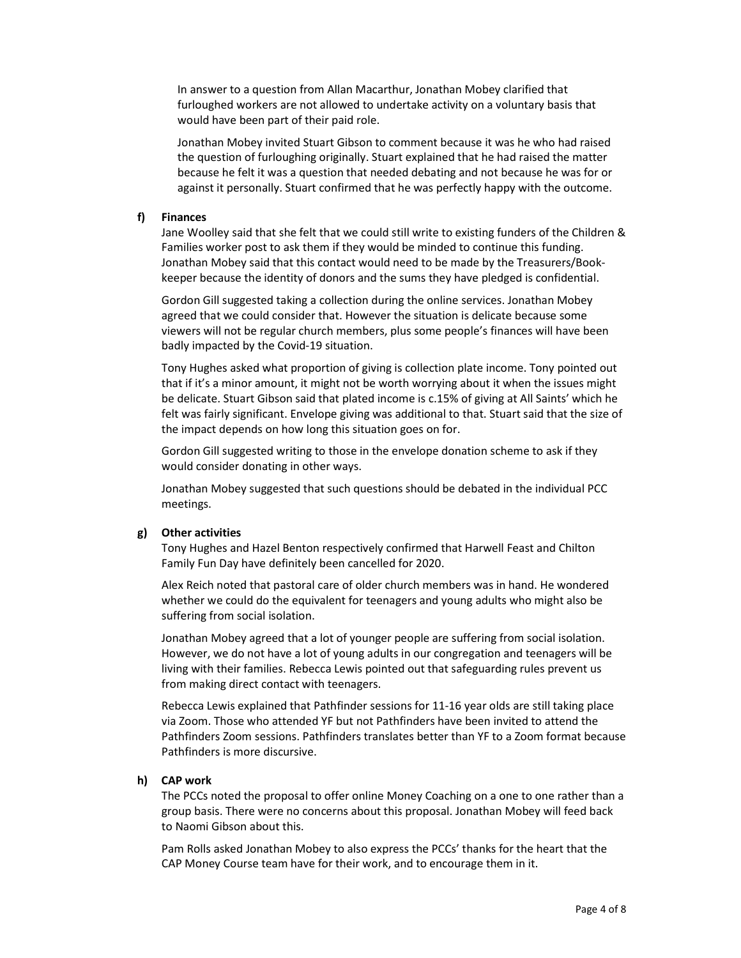In answer to a question from Allan Macarthur, Jonathan Mobey clarified that furloughed workers are not allowed to undertake activity on a voluntary basis that would have been part of their paid role.

Jonathan Mobey invited Stuart Gibson to comment because it was he who had raised the question of furloughing originally. Stuart explained that he had raised the matter because he felt it was a question that needed debating and not because he was for or against it personally. Stuart confirmed that he was perfectly happy with the outcome.

#### f) Finances

Jane Woolley said that she felt that we could still write to existing funders of the Children & Families worker post to ask them if they would be minded to continue this funding. Jonathan Mobey said that this contact would need to be made by the Treasurers/Bookkeeper because the identity of donors and the sums they have pledged is confidential.

Gordon Gill suggested taking a collection during the online services. Jonathan Mobey agreed that we could consider that. However the situation is delicate because some viewers will not be regular church members, plus some people's finances will have been badly impacted by the Covid-19 situation.

Tony Hughes asked what proportion of giving is collection plate income. Tony pointed out that if it's a minor amount, it might not be worth worrying about it when the issues might be delicate. Stuart Gibson said that plated income is c.15% of giving at All Saints' which he felt was fairly significant. Envelope giving was additional to that. Stuart said that the size of the impact depends on how long this situation goes on for.

Gordon Gill suggested writing to those in the envelope donation scheme to ask if they would consider donating in other ways.

Jonathan Mobey suggested that such questions should be debated in the individual PCC meetings.

#### g) Other activities

Tony Hughes and Hazel Benton respectively confirmed that Harwell Feast and Chilton Family Fun Day have definitely been cancelled for 2020.

Alex Reich noted that pastoral care of older church members was in hand. He wondered whether we could do the equivalent for teenagers and young adults who might also be suffering from social isolation.

Jonathan Mobey agreed that a lot of younger people are suffering from social isolation. However, we do not have a lot of young adults in our congregation and teenagers will be living with their families. Rebecca Lewis pointed out that safeguarding rules prevent us from making direct contact with teenagers.

Rebecca Lewis explained that Pathfinder sessions for 11-16 year olds are still taking place via Zoom. Those who attended YF but not Pathfinders have been invited to attend the Pathfinders Zoom sessions. Pathfinders translates better than YF to a Zoom format because Pathfinders is more discursive.

#### h) CAP work

The PCCs noted the proposal to offer online Money Coaching on a one to one rather than a group basis. There were no concerns about this proposal. Jonathan Mobey will feed back to Naomi Gibson about this.

Pam Rolls asked Jonathan Mobey to also express the PCCs' thanks for the heart that the CAP Money Course team have for their work, and to encourage them in it.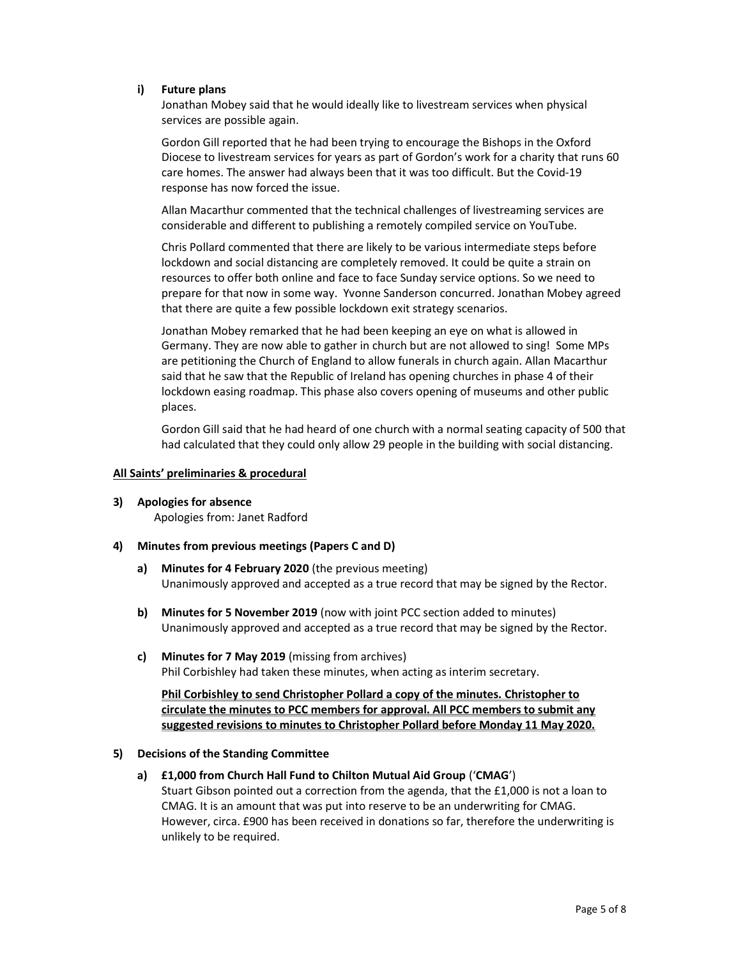### i) Future plans

Jonathan Mobey said that he would ideally like to livestream services when physical services are possible again.

Gordon Gill reported that he had been trying to encourage the Bishops in the Oxford Diocese to livestream services for years as part of Gordon's work for a charity that runs 60 care homes. The answer had always been that it was too difficult. But the Covid-19 response has now forced the issue.

Allan Macarthur commented that the technical challenges of livestreaming services are considerable and different to publishing a remotely compiled service on YouTube.

Chris Pollard commented that there are likely to be various intermediate steps before lockdown and social distancing are completely removed. It could be quite a strain on resources to offer both online and face to face Sunday service options. So we need to prepare for that now in some way. Yvonne Sanderson concurred. Jonathan Mobey agreed that there are quite a few possible lockdown exit strategy scenarios.

Jonathan Mobey remarked that he had been keeping an eye on what is allowed in Germany. They are now able to gather in church but are not allowed to sing! Some MPs are petitioning the Church of England to allow funerals in church again. Allan Macarthur said that he saw that the Republic of Ireland has opening churches in phase 4 of their lockdown easing roadmap. This phase also covers opening of museums and other public places.

Gordon Gill said that he had heard of one church with a normal seating capacity of 500 that had calculated that they could only allow 29 people in the building with social distancing.

#### All Saints' preliminaries & procedural

3) Apologies for absence Apologies from: Janet Radford

#### 4) Minutes from previous meetings (Papers C and D)

- a) Minutes for 4 February 2020 (the previous meeting) Unanimously approved and accepted as a true record that may be signed by the Rector.
- b) Minutes for 5 November 2019 (now with joint PCC section added to minutes) Unanimously approved and accepted as a true record that may be signed by the Rector.
- c) Minutes for 7 May 2019 (missing from archives) Phil Corbishley had taken these minutes, when acting as interim secretary.

Phil Corbishley to send Christopher Pollard a copy of the minutes. Christopher to circulate the minutes to PCC members for approval. All PCC members to submit any suggested revisions to minutes to Christopher Pollard before Monday 11 May 2020.

#### 5) Decisions of the Standing Committee

a) £1,000 from Church Hall Fund to Chilton Mutual Aid Group ('CMAG') Stuart Gibson pointed out a correction from the agenda, that the £1,000 is not a loan to CMAG. It is an amount that was put into reserve to be an underwriting for CMAG. However, circa. £900 has been received in donations so far, therefore the underwriting is unlikely to be required.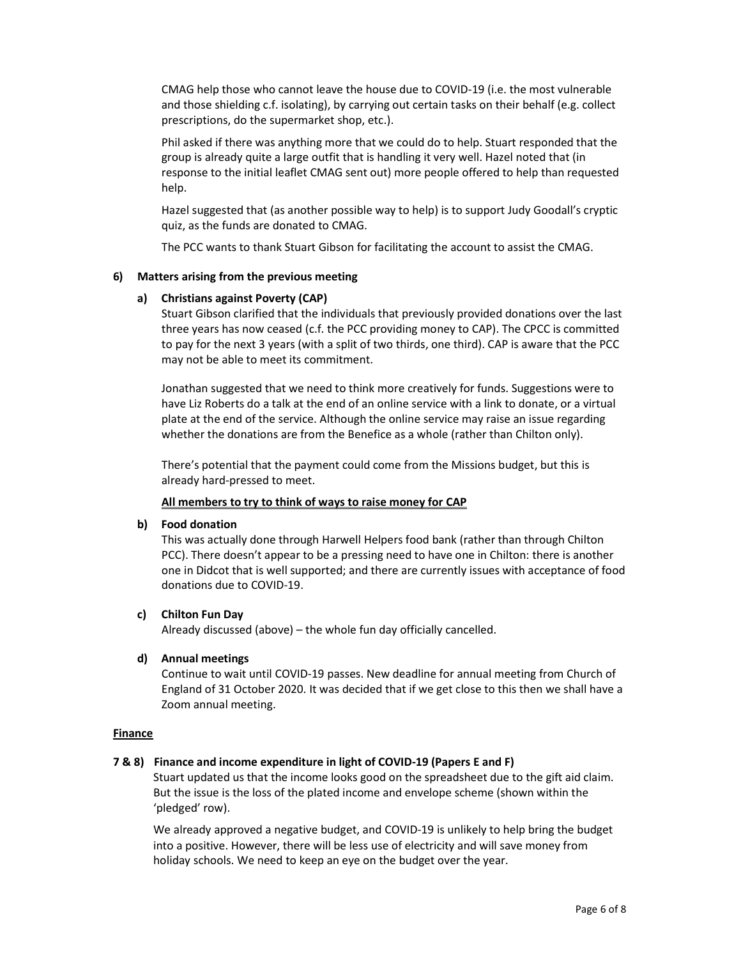CMAG help those who cannot leave the house due to COVID-19 (i.e. the most vulnerable and those shielding c.f. isolating), by carrying out certain tasks on their behalf (e.g. collect prescriptions, do the supermarket shop, etc.).

Phil asked if there was anything more that we could do to help. Stuart responded that the group is already quite a large outfit that is handling it very well. Hazel noted that (in response to the initial leaflet CMAG sent out) more people offered to help than requested help.

Hazel suggested that (as another possible way to help) is to support Judy Goodall's cryptic quiz, as the funds are donated to CMAG.

The PCC wants to thank Stuart Gibson for facilitating the account to assist the CMAG.

## 6) Matters arising from the previous meeting

#### a) Christians against Poverty (CAP)

Stuart Gibson clarified that the individuals that previously provided donations over the last three years has now ceased (c.f. the PCC providing money to CAP). The CPCC is committed to pay for the next 3 years (with a split of two thirds, one third). CAP is aware that the PCC may not be able to meet its commitment.

Jonathan suggested that we need to think more creatively for funds. Suggestions were to have Liz Roberts do a talk at the end of an online service with a link to donate, or a virtual plate at the end of the service. Although the online service may raise an issue regarding whether the donations are from the Benefice as a whole (rather than Chilton only).

There's potential that the payment could come from the Missions budget, but this is already hard-pressed to meet.

## All members to try to think of ways to raise money for CAP

#### b) Food donation

This was actually done through Harwell Helpers food bank (rather than through Chilton PCC). There doesn't appear to be a pressing need to have one in Chilton: there is another one in Didcot that is well supported; and there are currently issues with acceptance of food donations due to COVID-19.

## c) Chilton Fun Day

Already discussed (above) – the whole fun day officially cancelled.

#### d) Annual meetings

Continue to wait until COVID-19 passes. New deadline for annual meeting from Church of England of 31 October 2020. It was decided that if we get close to this then we shall have a Zoom annual meeting.

#### Finance

## 7 & 8) Finance and income expenditure in light of COVID-19 (Papers E and F)

Stuart updated us that the income looks good on the spreadsheet due to the gift aid claim. But the issue is the loss of the plated income and envelope scheme (shown within the 'pledged' row).

We already approved a negative budget, and COVID-19 is unlikely to help bring the budget into a positive. However, there will be less use of electricity and will save money from holiday schools. We need to keep an eye on the budget over the year.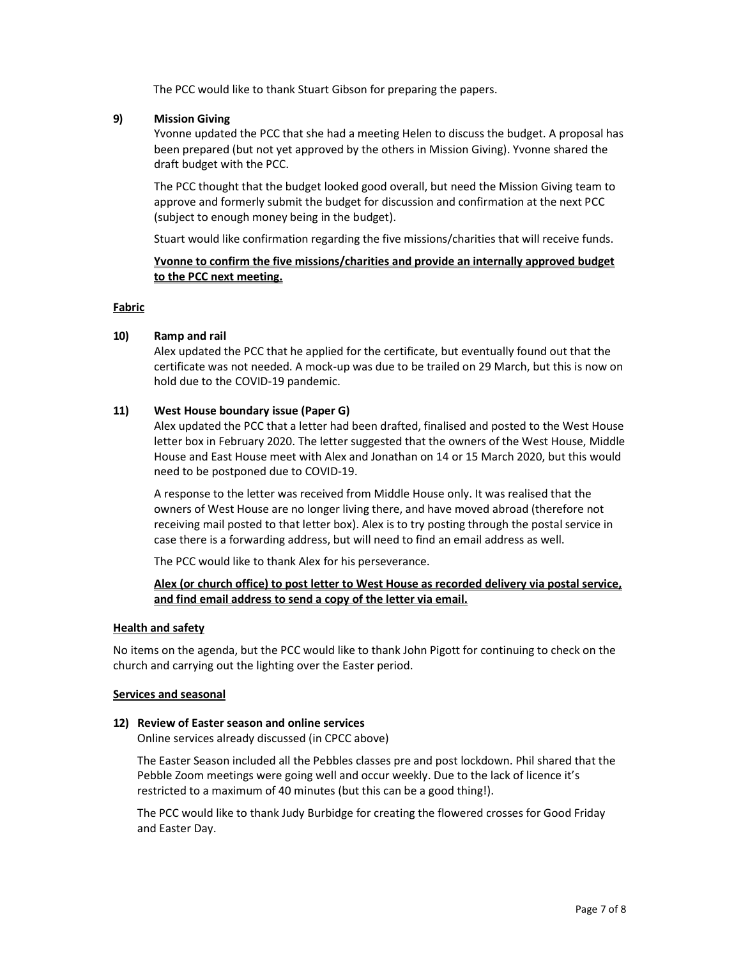The PCC would like to thank Stuart Gibson for preparing the papers.

## 9) Mission Giving

Yvonne updated the PCC that she had a meeting Helen to discuss the budget. A proposal has been prepared (but not yet approved by the others in Mission Giving). Yvonne shared the draft budget with the PCC.

The PCC thought that the budget looked good overall, but need the Mission Giving team to approve and formerly submit the budget for discussion and confirmation at the next PCC (subject to enough money being in the budget).

Stuart would like confirmation regarding the five missions/charities that will receive funds.

# Yvonne to confirm the five missions/charities and provide an internally approved budget to the PCC next meeting.

## Fabric

# 10) Ramp and rail

Alex updated the PCC that he applied for the certificate, but eventually found out that the certificate was not needed. A mock-up was due to be trailed on 29 March, but this is now on hold due to the COVID-19 pandemic.

# 11) West House boundary issue (Paper G)

Alex updated the PCC that a letter had been drafted, finalised and posted to the West House letter box in February 2020. The letter suggested that the owners of the West House, Middle House and East House meet with Alex and Jonathan on 14 or 15 March 2020, but this would need to be postponed due to COVID-19.

A response to the letter was received from Middle House only. It was realised that the owners of West House are no longer living there, and have moved abroad (therefore not receiving mail posted to that letter box). Alex is to try posting through the postal service in case there is a forwarding address, but will need to find an email address as well.

The PCC would like to thank Alex for his perseverance.

# Alex (or church office) to post letter to West House as recorded delivery via postal service, and find email address to send a copy of the letter via email.

## Health and safety

No items on the agenda, but the PCC would like to thank John Pigott for continuing to check on the church and carrying out the lighting over the Easter period.

## Services and seasonal

## 12) Review of Easter season and online services

Online services already discussed (in CPCC above)

The Easter Season included all the Pebbles classes pre and post lockdown. Phil shared that the Pebble Zoom meetings were going well and occur weekly. Due to the lack of licence it's restricted to a maximum of 40 minutes (but this can be a good thing!).

The PCC would like to thank Judy Burbidge for creating the flowered crosses for Good Friday and Easter Day.